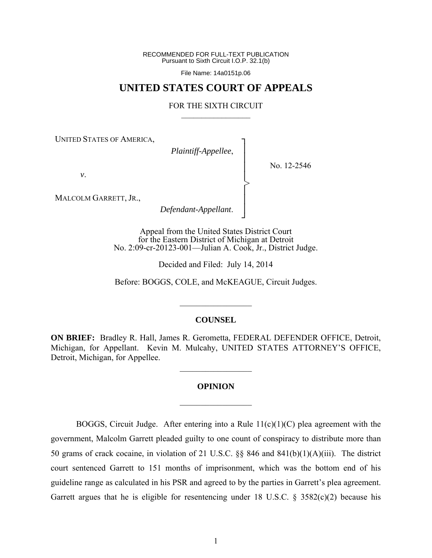RECOMMENDED FOR FULL-TEXT PUBLICATION Pursuant to Sixth Circuit I.O.P. 32.1(b)

File Name: 14a0151p.06

# **UNITED STATES COURT OF APPEALS**

#### FOR THE SIXTH CIRCUIT  $\mathcal{L}_\text{max}$

┐ │ │ │ │ │ │ │ ┘

>

UNITED STATES OF AMERICA,

*Plaintiff-Appellee*,

No. 12-2546

*v*.

MALCOLM GARRETT, JR.,

*Defendant-Appellant*.

Appeal from the United States District Court for the Eastern District of Michigan at Detroit No. 2:09-cr-20123-001—Julian A. Cook, Jr., District Judge.

Decided and Filed: July 14, 2014

Before: BOGGS, COLE, and McKEAGUE, Circuit Judges.

#### **COUNSEL**

 $\frac{1}{2}$ 

**ON BRIEF:** Bradley R. Hall, James R. Gerometta, FEDERAL DEFENDER OFFICE, Detroit, Michigan, for Appellant. Kevin M. Mulcahy, UNITED STATES ATTORNEY'S OFFICE, Detroit, Michigan, for Appellee.

 $\frac{1}{2}$ 

# **OPINION**

 $\frac{1}{2}$ 

BOGGS, Circuit Judge. After entering into a Rule  $11(c)(1)(C)$  plea agreement with the government, Malcolm Garrett pleaded guilty to one count of conspiracy to distribute more than 50 grams of crack cocaine, in violation of 21 U.S.C. §§ 846 and 841(b)(1)(A)(iii). The district court sentenced Garrett to 151 months of imprisonment, which was the bottom end of his guideline range as calculated in his PSR and agreed to by the parties in Garrett's plea agreement. Garrett argues that he is eligible for resentencing under 18 U.S.C.  $\S$  3582(c)(2) because his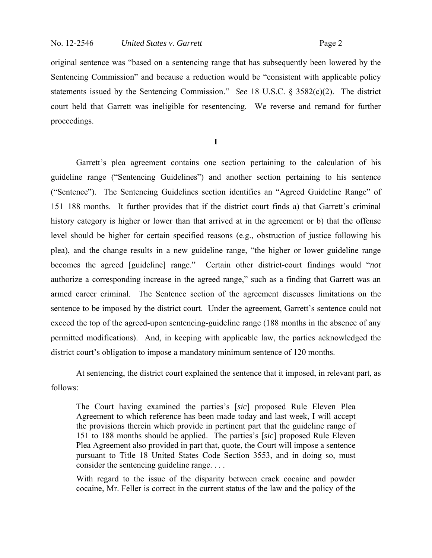original sentence was "based on a sentencing range that has subsequently been lowered by the Sentencing Commission" and because a reduction would be "consistent with applicable policy statements issued by the Sentencing Commission." *See* 18 U.S.C. § 3582(c)(2). The district court held that Garrett was ineligible for resentencing. We reverse and remand for further proceedings.

**I**

 Garrett's plea agreement contains one section pertaining to the calculation of his guideline range ("Sentencing Guidelines") and another section pertaining to his sentence ("Sentence"). The Sentencing Guidelines section identifies an "Agreed Guideline Range" of 151–188 months. It further provides that if the district court finds a) that Garrett's criminal history category is higher or lower than that arrived at in the agreement or b) that the offense level should be higher for certain specified reasons (e.g., obstruction of justice following his plea), and the change results in a new guideline range, "the higher or lower guideline range becomes the agreed [guideline] range." Certain other district-court findings would "*not* authorize a corresponding increase in the agreed range," such as a finding that Garrett was an armed career criminal. The Sentence section of the agreement discusses limitations on the sentence to be imposed by the district court. Under the agreement, Garrett's sentence could not exceed the top of the agreed-upon sentencing-guideline range (188 months in the absence of any permitted modifications). And, in keeping with applicable law, the parties acknowledged the district court's obligation to impose a mandatory minimum sentence of 120 months.

 At sentencing, the district court explained the sentence that it imposed, in relevant part, as follows:

The Court having examined the parties's [*sic*] proposed Rule Eleven Plea Agreement to which reference has been made today and last week, I will accept the provisions therein which provide in pertinent part that the guideline range of 151 to 188 months should be applied. The parties's [*sic*] proposed Rule Eleven Plea Agreement also provided in part that, quote, the Court will impose a sentence pursuant to Title 18 United States Code Section 3553, and in doing so, must consider the sentencing guideline range. . . .

With regard to the issue of the disparity between crack cocaine and powder cocaine, Mr. Feller is correct in the current status of the law and the policy of the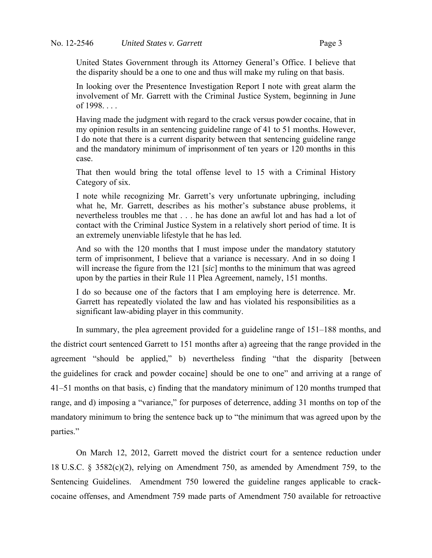United States Government through its Attorney General's Office. I believe that the disparity should be a one to one and thus will make my ruling on that basis.

In looking over the Presentence Investigation Report I note with great alarm the involvement of Mr. Garrett with the Criminal Justice System, beginning in June of 1998. . . .

Having made the judgment with regard to the crack versus powder cocaine, that in my opinion results in an sentencing guideline range of 41 to 51 months. However, I do note that there is a current disparity between that sentencing guideline range and the mandatory minimum of imprisonment of ten years or 120 months in this case.

That then would bring the total offense level to 15 with a Criminal History Category of six.

I note while recognizing Mr. Garrett's very unfortunate upbringing, including what he, Mr. Garrett, describes as his mother's substance abuse problems, it nevertheless troubles me that . . . he has done an awful lot and has had a lot of contact with the Criminal Justice System in a relatively short period of time. It is an extremely unenviable lifestyle that he has led.

And so with the 120 months that I must impose under the mandatory statutory term of imprisonment, I believe that a variance is necessary. And in so doing I will increase the figure from the 121 [*sic*] months to the minimum that was agreed upon by the parties in their Rule 11 Plea Agreement, namely, 151 months.

I do so because one of the factors that I am employing here is deterrence. Mr. Garrett has repeatedly violated the law and has violated his responsibilities as a significant law-abiding player in this community.

 In summary, the plea agreement provided for a guideline range of 151–188 months, and the district court sentenced Garrett to 151 months after a) agreeing that the range provided in the agreement "should be applied," b) nevertheless finding "that the disparity [between the guidelines for crack and powder cocaine] should be one to one" and arriving at a range of 41–51 months on that basis, c) finding that the mandatory minimum of 120 months trumped that range, and d) imposing a "variance," for purposes of deterrence, adding 31 months on top of the mandatory minimum to bring the sentence back up to "the minimum that was agreed upon by the parties."

 On March 12, 2012, Garrett moved the district court for a sentence reduction under 18 U.S.C. § 3582(c)(2), relying on Amendment 750, as amended by Amendment 759, to the Sentencing Guidelines. Amendment 750 lowered the guideline ranges applicable to crackcocaine offenses, and Amendment 759 made parts of Amendment 750 available for retroactive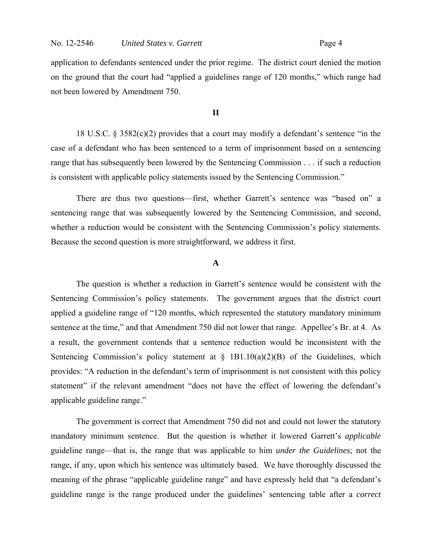#### No. 12-2546 *United States v. Garrett* Page 4

application to defendants sentenced under the prior regime. The district court denied the motion on the ground that the court had "applied a guidelines range of 120 months," which range had not been lowered by Amendment 750.

# **II**

 18 U.S.C. § 3582(c)(2) provides that a court may modify a defendant's sentence "in the case of a defendant who has been sentenced to a term of imprisonment based on a sentencing range that has subsequently been lowered by the Sentencing Commission . . . if such a reduction is consistent with applicable policy statements issued by the Sentencing Commission."

 There are thus two questions—first, whether Garrett's sentence was "based on" a sentencing range that was subsequently lowered by the Sentencing Commission, and second, whether a reduction would be consistent with the Sentencing Commission's policy statements. Because the second question is more straightforward, we address it first.

## **A**

 The question is whether a reduction in Garrett's sentence would be consistent with the Sentencing Commission's policy statements. The government argues that the district court applied a guideline range of "120 months, which represented the statutory mandatory minimum sentence at the time," and that Amendment 750 did not lower that range. Appellee's Br. at 4. As a result, the government contends that a sentence reduction would be inconsistent with the Sentencing Commission's policy statement at  $\S$  1B1.10(a)(2)(B) of the Guidelines, which provides: "A reduction in the defendant's term of imprisonment is not consistent with this policy statement" if the relevant amendment "does not have the effect of lowering the defendant's applicable guideline range."

 The government is correct that Amendment 750 did not and could not lower the statutory mandatory minimum sentence. But the question is whether it lowered Garrett's *applicable* guideline range—that is, the range that was applicable to him *under the Guidelines*; not the range, if any, upon which his sentence was ultimately based. We have thoroughly discussed the meaning of the phrase "applicable guideline range" and have expressly held that "a defendant's guideline range is the range produced under the guidelines' sentencing table after a *correct*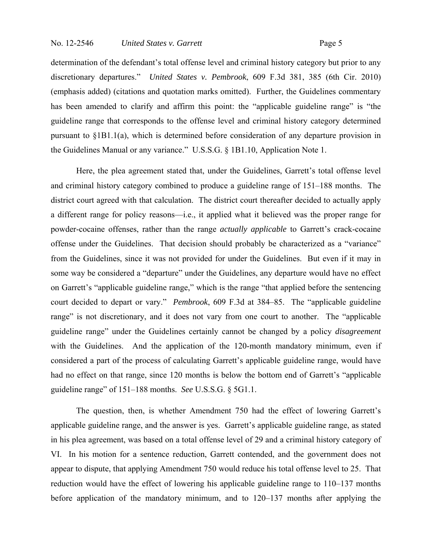determination of the defendant's total offense level and criminal history category but prior to any discretionary departures." *United States v. Pembrook*, 609 F.3d 381, 385 (6th Cir. 2010) (emphasis added) (citations and quotation marks omitted). Further, the Guidelines commentary has been amended to clarify and affirm this point: the "applicable guideline range" is "the guideline range that corresponds to the offense level and criminal history category determined pursuant to §1B1.1(a), which is determined before consideration of any departure provision in the Guidelines Manual or any variance." U.S.S.G. § 1B1.10, Application Note 1.

Here, the plea agreement stated that, under the Guidelines, Garrett's total offense level and criminal history category combined to produce a guideline range of 151–188 months. The district court agreed with that calculation. The district court thereafter decided to actually apply a different range for policy reasons—i.e., it applied what it believed was the proper range for powder-cocaine offenses, rather than the range *actually applicable* to Garrett's crack-cocaine offense under the Guidelines. That decision should probably be characterized as a "variance" from the Guidelines, since it was not provided for under the Guidelines. But even if it may in some way be considered a "departure" under the Guidelines, any departure would have no effect on Garrett's "applicable guideline range," which is the range "that applied before the sentencing court decided to depart or vary." *Pembrook*, 609 F.3d at 384–85. The "applicable guideline range" is not discretionary, and it does not vary from one court to another. The "applicable" guideline range" under the Guidelines certainly cannot be changed by a policy *disagreement* with the Guidelines. And the application of the 120-month mandatory minimum, even if considered a part of the process of calculating Garrett's applicable guideline range, would have had no effect on that range, since 120 months is below the bottom end of Garrett's "applicable guideline range" of 151–188 months. *See* U.S.S.G. § 5G1.1.

The question, then, is whether Amendment 750 had the effect of lowering Garrett's applicable guideline range, and the answer is yes. Garrett's applicable guideline range, as stated in his plea agreement, was based on a total offense level of 29 and a criminal history category of VI. In his motion for a sentence reduction, Garrett contended, and the government does not appear to dispute, that applying Amendment 750 would reduce his total offense level to 25. That reduction would have the effect of lowering his applicable guideline range to 110–137 months before application of the mandatory minimum, and to 120–137 months after applying the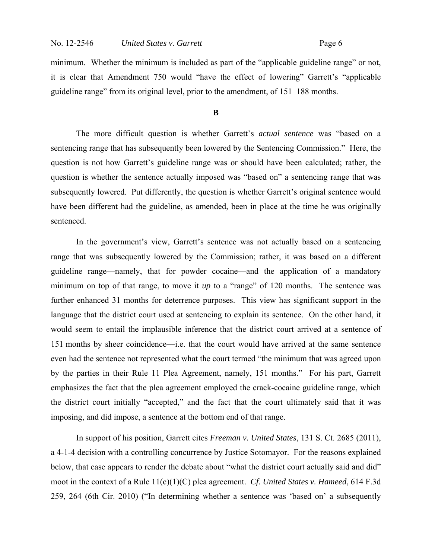minimum. Whether the minimum is included as part of the "applicable guideline range" or not, it is clear that Amendment 750 would "have the effect of lowering" Garrett's "applicable guideline range" from its original level, prior to the amendment, of 151–188 months.

# **B**

 The more difficult question is whether Garrett's *actual sentence* was "based on a sentencing range that has subsequently been lowered by the Sentencing Commission." Here, the question is not how Garrett's guideline range was or should have been calculated; rather, the question is whether the sentence actually imposed was "based on" a sentencing range that was subsequently lowered. Put differently, the question is whether Garrett's original sentence would have been different had the guideline, as amended, been in place at the time he was originally sentenced.

 In the government's view, Garrett's sentence was not actually based on a sentencing range that was subsequently lowered by the Commission; rather, it was based on a different guideline range—namely, that for powder cocaine—and the application of a mandatory minimum on top of that range, to move it *up* to a "range" of 120 months. The sentence was further enhanced 31 months for deterrence purposes. This view has significant support in the language that the district court used at sentencing to explain its sentence. On the other hand, it would seem to entail the implausible inference that the district court arrived at a sentence of 151 months by sheer coincidence—i.e. that the court would have arrived at the same sentence even had the sentence not represented what the court termed "the minimum that was agreed upon by the parties in their Rule 11 Plea Agreement, namely, 151 months." For his part, Garrett emphasizes the fact that the plea agreement employed the crack-cocaine guideline range, which the district court initially "accepted," and the fact that the court ultimately said that it was imposing, and did impose, a sentence at the bottom end of that range.

In support of his position, Garrett cites *Freeman v. United States*, 131 S. Ct. 2685 (2011), a 4-1-4 decision with a controlling concurrence by Justice Sotomayor. For the reasons explained below, that case appears to render the debate about "what the district court actually said and did" moot in the context of a Rule 11(c)(1)(C) plea agreement. *Cf. United States v. Hameed*, 614 F.3d 259, 264 (6th Cir. 2010) ("In determining whether a sentence was 'based on' a subsequently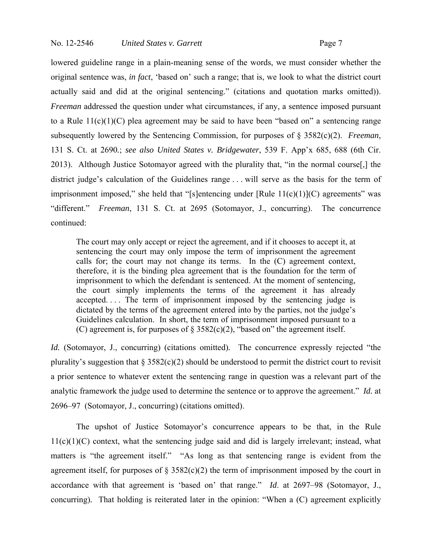lowered guideline range in a plain-meaning sense of the words, we must consider whether the original sentence was, *in fact*, 'based on' such a range; that is, we look to what the district court actually said and did at the original sentencing." (citations and quotation marks omitted)). *Freeman* addressed the question under what circumstances, if any, a sentence imposed pursuant to a Rule  $11(c)(1)(C)$  plea agreement may be said to have been "based on" a sentencing range subsequently lowered by the Sentencing Commission, for purposes of § 3582(c)(2). *Freeman*, 131 S. Ct. at 2690*.*; *see also United States v. Bridgewater*, 539 F. App'x 685, 688 (6th Cir. 2013). Although Justice Sotomayor agreed with the plurality that, "in the normal course[,] the district judge's calculation of the Guidelines range . . . will serve as the basis for the term of imprisonment imposed," she held that "[s]entencing under  $[Rule 11(c)(1)](C)$  agreements" was "different." *Freeman*, 131 S. Ct. at 2695 (Sotomayor, J., concurring). The concurrence continued:

The court may only accept or reject the agreement, and if it chooses to accept it, at sentencing the court may only impose the term of imprisonment the agreement calls for; the court may not change its terms. In the (C) agreement context, therefore, it is the binding plea agreement that is the foundation for the term of imprisonment to which the defendant is sentenced. At the moment of sentencing, the court simply implements the terms of the agreement it has already accepted. . . . The term of imprisonment imposed by the sentencing judge is dictated by the terms of the agreement entered into by the parties, not the judge's Guidelines calculation. In short, the term of imprisonment imposed pursuant to a (C) agreement is, for purposes of  $\S 3582(c)(2)$ , "based on" the agreement itself.

*Id.* (Sotomayor, J., concurring) (citations omitted)*.* The concurrence expressly rejected "the plurality's suggestion that  $\S 3582(c)(2)$  should be understood to permit the district court to revisit a prior sentence to whatever extent the sentencing range in question was a relevant part of the analytic framework the judge used to determine the sentence or to approve the agreement." *Id.* at 2696–97 (Sotomayor, J., concurring) (citations omitted).

The upshot of Justice Sotomayor's concurrence appears to be that, in the Rule 11(c)(1)(C) context, what the sentencing judge said and did is largely irrelevant; instead, what matters is "the agreement itself." "As long as that sentencing range is evident from the agreement itself, for purposes of  $\S 3582(c)(2)$  the term of imprisonment imposed by the court in accordance with that agreement is 'based on' that range." *Id*. at 2697–98 (Sotomayor, J., concurring)*.* That holding is reiterated later in the opinion: "When a (C) agreement explicitly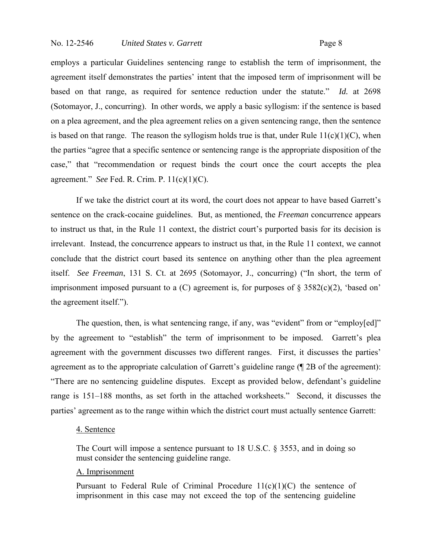employs a particular Guidelines sentencing range to establish the term of imprisonment, the agreement itself demonstrates the parties' intent that the imposed term of imprisonment will be based on that range, as required for sentence reduction under the statute." *Id.* at 2698 (Sotomayor, J., concurring). In other words, we apply a basic syllogism: if the sentence is based on a plea agreement, and the plea agreement relies on a given sentencing range, then the sentence is based on that range. The reason the syllogism holds true is that, under Rule  $11(c)(1)(C)$ , when the parties "agree that a specific sentence or sentencing range is the appropriate disposition of the case," that "recommendation or request binds the court once the court accepts the plea agreement." *See* Fed. R. Crim. P. 11(c)(1)(C).

If we take the district court at its word, the court does not appear to have based Garrett's sentence on the crack-cocaine guidelines. But, as mentioned, the *Freeman* concurrence appears to instruct us that, in the Rule 11 context, the district court's purported basis for its decision is irrelevant. Instead, the concurrence appears to instruct us that, in the Rule 11 context, we cannot conclude that the district court based its sentence on anything other than the plea agreement itself. *See Freeman*, 131 S. Ct. at 2695 (Sotomayor, J., concurring) ("In short, the term of imprisonment imposed pursuant to a  $(C)$  agreement is, for purposes of  $\S$  3582 $(c)(2)$ , 'based on' the agreement itself.").

The question, then, is what sentencing range, if any, was "evident" from or "employ[ed]" by the agreement to "establish" the term of imprisonment to be imposed. Garrett's plea agreement with the government discusses two different ranges. First, it discusses the parties' agreement as to the appropriate calculation of Garrett's guideline range (¶ 2B of the agreement): "There are no sentencing guideline disputes. Except as provided below, defendant's guideline range is 151–188 months, as set forth in the attached worksheets." Second, it discusses the parties' agreement as to the range within which the district court must actually sentence Garrett:

### 4. Sentence

The Court will impose a sentence pursuant to 18 U.S.C. § 3553, and in doing so must consider the sentencing guideline range.

#### A. Imprisonment

Pursuant to Federal Rule of Criminal Procedure  $11(c)(1)(C)$  the sentence of imprisonment in this case may not exceed the top of the sentencing guideline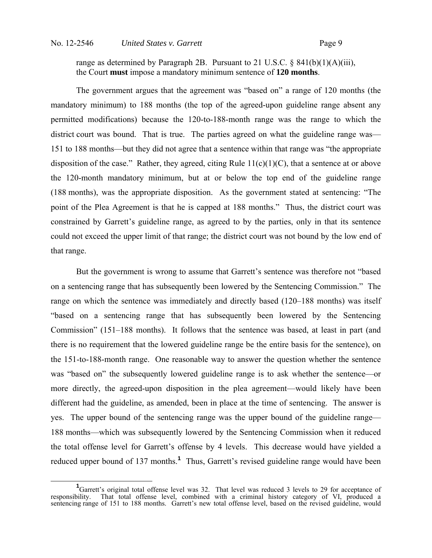range as determined by Paragraph 2B. Pursuant to 21 U.S.C.  $\S$  841(b)(1)(A)(iii), the Court **must** impose a mandatory minimum sentence of **120 months**.

The government argues that the agreement was "based on" a range of 120 months (the mandatory minimum) to 188 months (the top of the agreed-upon guideline range absent any permitted modifications) because the 120-to-188-month range was the range to which the district court was bound. That is true. The parties agreed on what the guideline range was— 151 to 188 months—but they did not agree that a sentence within that range was "the appropriate disposition of the case." Rather, they agreed, citing Rule  $11(c)(1)(C)$ , that a sentence at or above the 120-month mandatory minimum, but at or below the top end of the guideline range (188 months), was the appropriate disposition. As the government stated at sentencing: "The point of the Plea Agreement is that he is capped at 188 months." Thus, the district court was constrained by Garrett's guideline range, as agreed to by the parties, only in that its sentence could not exceed the upper limit of that range; the district court was not bound by the low end of that range.

But the government is wrong to assume that Garrett's sentence was therefore not "based on a sentencing range that has subsequently been lowered by the Sentencing Commission." The range on which the sentence was immediately and directly based (120–188 months) was itself "based on a sentencing range that has subsequently been lowered by the Sentencing Commission" (151–188 months). It follows that the sentence was based, at least in part (and there is no requirement that the lowered guideline range be the entire basis for the sentence), on the 151-to-188-month range. One reasonable way to answer the question whether the sentence was "based on" the subsequently lowered guideline range is to ask whether the sentence—or more directly, the agreed-upon disposition in the plea agreement—would likely have been different had the guideline, as amended, been in place at the time of sentencing. The answer is yes. The upper bound of the sentencing range was the upper bound of the guideline range— 188 months—which was subsequently lowered by the Sentencing Commission when it reduced the total offense level for Garrett's offense by 4 levels. This decrease would have yielded a reduced upper bound of 137 months.<sup>1</sup> Thus, Garrett's revised guideline range would have been

<sup>&</sup>lt;sup>1</sup>Garrett's original total offense level was 32. That level was reduced 3 levels to 29 for acceptance of responsibility. That total offense level, combined with a criminal history category of VI, produced a sentencing range of 151 to 188 months. Garrett's new total offense level, based on the revised guideline, would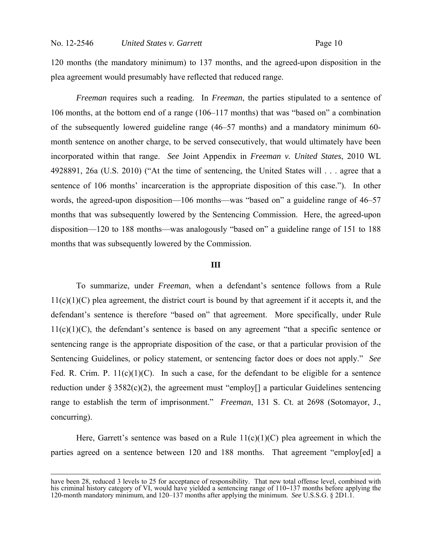120 months (the mandatory minimum) to 137 months, and the agreed-upon disposition in the plea agreement would presumably have reflected that reduced range.

*Freeman* requires such a reading. In *Freeman*, the parties stipulated to a sentence of 106 months, at the bottom end of a range (106–117 months) that was "based on" a combination of the subsequently lowered guideline range (46–57 months) and a mandatory minimum 60 month sentence on another charge, to be served consecutively, that would ultimately have been incorporated within that range. *See* Joint Appendix in *Freeman v. United States*, 2010 WL 4928891, 26a (U.S. 2010) ("At the time of sentencing, the United States will . . . agree that a sentence of 106 months' incarceration is the appropriate disposition of this case."). In other words, the agreed-upon disposition—106 months—was "based on" a guideline range of 46–57 months that was subsequently lowered by the Sentencing Commission. Here, the agreed-upon disposition—120 to 188 months—was analogously "based on" a guideline range of 151 to 188 months that was subsequently lowered by the Commission.

#### **III**

 To summarize, under *Freeman*, when a defendant's sentence follows from a Rule  $11(c)(1)(C)$  plea agreement, the district court is bound by that agreement if it accepts it, and the defendant's sentence is therefore "based on" that agreement. More specifically, under Rule  $11(c)(1)(C)$ , the defendant's sentence is based on any agreement "that a specific sentence or sentencing range is the appropriate disposition of the case, or that a particular provision of the Sentencing Guidelines, or policy statement, or sentencing factor does or does not apply." *See*  Fed. R. Crim. P.  $11(c)(1)(C)$ . In such a case, for the defendant to be eligible for a sentence reduction under  $\S 3582(c)(2)$ , the agreement must "employ<sup>[]</sup> a particular Guidelines sentencing range to establish the term of imprisonment." *Freeman*, 131 S. Ct. at 2698 (Sotomayor, J., concurring).

Here, Garrett's sentence was based on a Rule  $11(c)(1)(C)$  plea agreement in which the parties agreed on a sentence between 120 and 188 months. That agreement "employ[ed] a

have been 28, reduced 3 levels to 25 for acceptance of responsibility. That new total offense level, combined with his criminal history category of VI, would have yielded a sentencing range of 110–137 months before applying the 120-month mandatory minimum, and 120–137 months after applying the minimum. *See* U.S.S.G. § 2D1.1.